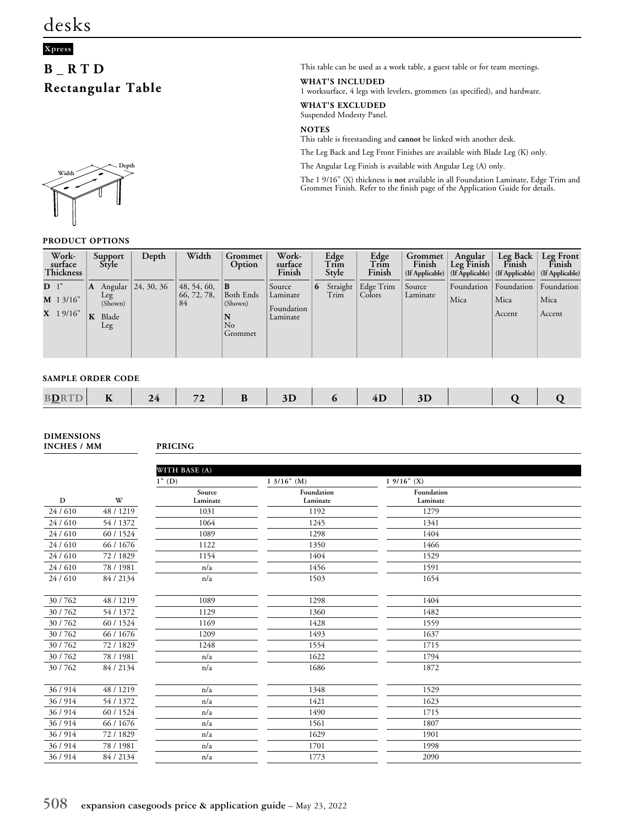### **Xpress**

## **B\_RTD Rectangular Table**



#### **PRODUCT OPTIONS**

This table can be used as a work table, a guest table or for team meetings.

**WHAT'S INCLUDED**

1 worksurface, 4 legs with levelers, grommets (as specified), and hardware.

**WHAT'S EXCLUDED** Suspended Modesty Panel.

**NOTES**

This table is freestanding and **cannot** be linked with another desk.

The Leg Back and Leg Front Finishes are available with Blade Leg (K) only.

The Angular Leg Finish is available with Angular Leg (A) only.

The 1 9/16" (X) thickness is **not** available in all Foundation Laminate, Edge Trim and Grommet Finish. Refer to the finish page of the Application Guide for details.

|                | Work-<br>surface<br><b>Thickness</b> |   | Support<br>Style               | Depth              | Width                            | Grommet<br>Option                                | Work-<br>surface<br>Finish                   |   | Edge<br>Trim<br>Style | Edge<br>Trim<br>Finish         | Grommet<br>Finish<br>(If Applicable) | Angular<br>Leg $\text{Final}$ | Leg Back<br>Finish<br>$ $ (If Applicable) $ $ (If Applicable) $ $ (If Applicable) | Leg Front<br>Finish          |
|----------------|--------------------------------------|---|--------------------------------|--------------------|----------------------------------|--------------------------------------------------|----------------------------------------------|---|-----------------------|--------------------------------|--------------------------------------|-------------------------------|-----------------------------------------------------------------------------------|------------------------------|
| D <sup>1</sup> | $M$ 1 3/16"<br>$X$ 19/16"            | A | Leg<br>(Shown)<br>Blade<br>Leg | Angular 24, 30, 36 | 48, 54, 60,<br>66, 72, 78,<br>84 | B <br>Both Ends<br>(Shown)<br>N<br>No<br>Grommet | Source<br>Laminate<br>Foundation<br>Laminate | 6 | Trim                  | Straight   Edge Trim<br>Colors | Source<br>Laminate                   | Foundation<br>Mica            | Foundation<br>Mica<br>Accent                                                      | Foundation<br>Mica<br>Accent |

#### **SAMPLE ORDER CODE**

|  | . American control<br><b>BDF</b> | $- -$<br>$\blacksquare$ |  | $\sim$ |  |  |  | ᅭ |  |  |  |  |
|--|----------------------------------|-------------------------|--|--------|--|--|--|---|--|--|--|--|
|--|----------------------------------|-------------------------|--|--------|--|--|--|---|--|--|--|--|

**DIMENSIONS INCHES / MM PRICING**

|          |           | WITH BASE (A)      |                        |                        |  |
|----------|-----------|--------------------|------------------------|------------------------|--|
|          |           | $1"$ (D)           | $13/16"$ (M)           | $19/16"$ (X)           |  |
| D        | W         | Source<br>Laminate | Foundation<br>Laminate | Foundation<br>Laminate |  |
| 24/610   | 48 / 1219 | 1031               | 1192                   | 1279                   |  |
| 24 / 610 | 54 / 1372 | 1064               | 1245                   | 1341                   |  |
| 24/610   | 60 / 1524 | 1089               | 1298                   | 1404                   |  |
| 24 / 610 | 66 / 1676 | 1122               | 1350                   | 1466                   |  |
| 24/610   | 72 / 1829 | 1154               | 1404                   | 1529                   |  |
| 24 / 610 | 78 / 1981 | n/a                | 1456                   | 1591                   |  |
| 24 / 610 | 84 / 2134 | n/a                | 1503                   | 1654                   |  |
| 30/762   | 48 / 1219 | 1089               | 1298                   | 1404                   |  |
| 30/762   | 54 / 1372 | 1129               | 1360                   | 1482                   |  |
| 30/762   | 60 / 1524 | 1169               | 1428                   | 1559                   |  |
| 30/762   | 66 / 1676 | 1209               | 1493                   | 1637                   |  |
| 30/762   | 72 / 1829 | 1248               | 1554                   | 1715                   |  |
| 30/762   | 78 / 1981 | n/a                | 1622                   | 1794                   |  |
| 30/762   | 84 / 2134 | n/a                | 1686                   | 1872                   |  |
| 36/914   | 48 / 1219 | n/a                | 1348                   | 1529                   |  |
| 36 / 914 | 54 / 1372 | n/a                | 1421                   | 1623                   |  |
| 36/914   | 60 / 1524 | n/a                | 1490                   | 1715                   |  |
| 36/914   | 66 / 1676 | n/a                | 1561                   | 1807                   |  |
| 36 / 914 | 72 / 1829 | n/a                | 1629                   | 1901                   |  |
| 36/914   | 78 / 1981 | n/a                | 1701                   | 1998                   |  |
| 36 / 914 | 84 / 2134 | n/a                | 1773                   | 2090                   |  |